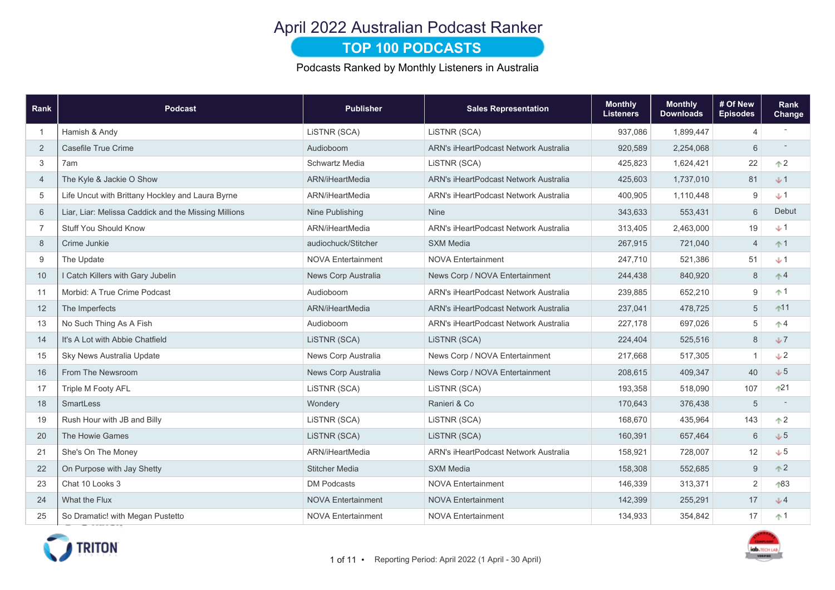# April 2022 Australian Podcast Ranker

### **TOP 100 PODCASTS**

Podcasts Ranked by Monthly Listeners in Australia

| Rank           | <b>Podcast</b>                                       | <b>Publisher</b>          | <b>Sales Representation</b>                  | <b>Monthly</b><br><b>Listeners</b> | <b>Monthly</b><br><b>Downloads</b> | # Of New<br><b>Episodes</b> | Rank<br>Change |
|----------------|------------------------------------------------------|---------------------------|----------------------------------------------|------------------------------------|------------------------------------|-----------------------------|----------------|
| $\overline{1}$ | Hamish & Andy                                        | LISTNR (SCA)              | LiSTNR (SCA)                                 | 937,086                            | 1,899,447                          | 4                           |                |
| 2              | Casefile True Crime                                  | Audioboom                 | <b>ARN's iHeartPodcast Network Australia</b> | 920,589                            | 2,254,068                          | 6                           |                |
| 3              | 7am                                                  | <b>Schwartz Media</b>     | LISTNR (SCA)                                 | 425,823                            | 1,624,421                          | 22                          | $\uparrow$ 2   |
| $\overline{4}$ | The Kyle & Jackie O Show                             | ARN/iHeartMedia           | <b>ARN's iHeartPodcast Network Australia</b> | 425,603                            | 1,737,010                          | 81                          | $+1$           |
| 5              | Life Uncut with Brittany Hockley and Laura Byrne     | ARN/iHeartMedia           | <b>ARN's iHeartPodcast Network Australia</b> | 400,905                            | 1,110,448                          | 9                           | $+1$           |
| 6              | Liar, Liar: Melissa Caddick and the Missing Millions | Nine Publishing           | <b>Nine</b>                                  | 343,633                            | 553,431                            | 6                           | Debut          |
| $\overline{7}$ | <b>Stuff You Should Know</b>                         | ARN/iHeartMedia           | ARN's iHeartPodcast Network Australia        | 313,405                            | 2,463,000                          | 19                          | $+1$           |
| 8              | Crime Junkie                                         | audiochuck/Stitcher       | <b>SXM Media</b>                             | 267,915                            | 721,040                            | 4                           | $+1$           |
| 9              | The Update                                           | <b>NOVA Entertainment</b> | <b>NOVA Entertainment</b>                    | 247,710                            | 521,386                            | 51                          | $+1$           |
| 10             | I Catch Killers with Gary Jubelin                    | News Corp Australia       | News Corp / NOVA Entertainment               | 244,438                            | 840,920                            | 8                           | $\uparrow$ 4   |
| 11             | Morbid: A True Crime Podcast                         | Audioboom                 | <b>ARN's iHeartPodcast Network Australia</b> | 239,885                            | 652,210                            | 9                           | $+1$           |
| 12             | The Imperfects                                       | ARN/iHeartMedia           | <b>ARN's iHeartPodcast Network Australia</b> | 237,041                            | 478,725                            | 5                           | $11$           |
| 13             | No Such Thing As A Fish                              | Audioboom                 | <b>ARN's iHeartPodcast Network Australia</b> | 227,178                            | 697,026                            | 5                           | $\uparrow$ 4   |
| 14             | It's A Lot with Abbie Chatfield                      | LISTNR (SCA)              | LISTNR (SCA)                                 | 224,404                            | 525,516                            | $\,8\,$                     | J              |
| 15             | Sky News Australia Update                            | News Corp Australia       | News Corp / NOVA Entertainment               | 217,668                            | 517,305                            | $\overline{1}$              | $+2$           |
| 16             | From The Newsroom                                    | News Corp Australia       | News Corp / NOVA Entertainment               | 208,615                            | 409,347                            | 40                          | $+5$           |
| 17             | <b>Triple M Footy AFL</b>                            | LISTNR (SCA)              | LiSTNR (SCA)                                 | 193,358                            | 518,090                            | 107                         | $+21$          |
| 18             | <b>SmartLess</b>                                     | Wondery                   | Ranieri & Co                                 | 170,643                            | 376,438                            | 5                           |                |
| 19             | Rush Hour with JB and Billy                          | LISTNR (SCA)              | LISTNR (SCA)                                 | 168,670                            | 435,964                            | 143                         | $\uparrow$ 2   |
| 20             | The Howie Games                                      | LISTNR (SCA)              | LISTNR (SCA)                                 | 160,391                            | 657,464                            | 6                           | $+5$           |
| 21             | She's On The Money                                   | ARN/iHeartMedia           | <b>ARN's iHeartPodcast Network Australia</b> | 158,921                            | 728,007                            | 12                          | $+5$           |
| 22             | On Purpose with Jay Shetty                           | <b>Stitcher Media</b>     | <b>SXM Media</b>                             | 158,308                            | 552,685                            | 9                           | $\uparrow$ 2   |
| 23             | Chat 10 Looks 3                                      | <b>DM Podcasts</b>        | <b>NOVA Entertainment</b>                    | 146,339                            | 313,371                            | $\mathbf 2$                 | 183            |
| 24             | What the Flux                                        | <b>NOVA Entertainment</b> | <b>NOVA Entertainment</b>                    | 142,399                            | 255,291                            | 17                          | J              |
| 25             | So Dramatic! with Megan Pustetto                     | <b>NOVA Entertainment</b> | <b>NOVA Entertainment</b>                    | 134,933                            | 354,842                            | 17                          | $+1$           |

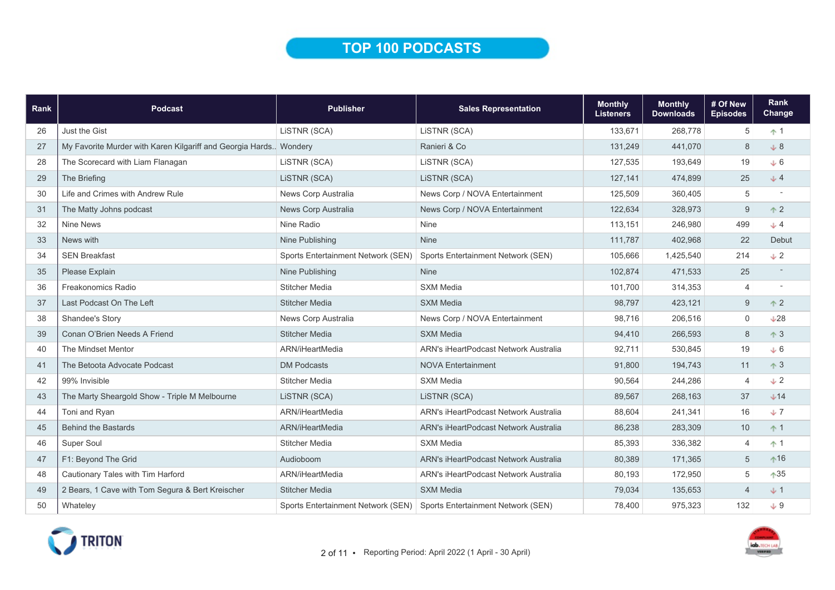### TOP 100 PODCASTS

| Rank | Podcast                                                            | <b>Publisher</b>                   | <b>Sales Representation</b>                  | <b>Monthly</b><br><b>Listeners</b> | <b>Monthly</b><br><b>Downloads</b> | # Of New<br><b>Episodes</b> | <b>Rank</b><br>Change |
|------|--------------------------------------------------------------------|------------------------------------|----------------------------------------------|------------------------------------|------------------------------------|-----------------------------|-----------------------|
| 26   | Just the Gist                                                      | LiSTNR (SCA)                       | LISTNR (SCA)                                 | 133,671                            | 268,778                            | 5                           | $+1$                  |
| 27   | My Favorite Murder with Karen Kilgariff and Georgia Hards. Wondery |                                    | Ranieri & Co                                 | 131,249                            | 441,070                            | $\delta$                    | $+8$                  |
| 28   | The Scorecard with Liam Flanagan                                   | LISTNR (SCA)                       | LISTNR (SCA)                                 | 127,535                            | 193,649                            | 19                          | $+6$                  |
| 29   | The Briefing                                                       | LISTNR (SCA)                       | LISTNR (SCA)                                 | 127,141                            | 474,899                            | 25                          | J <sub>4</sub>        |
| 30   | Life and Crimes with Andrew Rule                                   | News Corp Australia                | News Corp / NOVA Entertainment               | 125.509                            | 360,405                            | 5                           |                       |
| 31   | The Matty Johns podcast                                            | News Corp Australia                | News Corp / NOVA Entertainment               | 122,634                            | 328,973                            | 9                           | $\uparrow$ 2          |
| 32   | Nine News                                                          | Nine Radio                         | Nine                                         | 113,151                            | 246,980                            | 499                         | $+4$                  |
| 33   | News with                                                          | Nine Publishing                    | Nine                                         | 111,787                            | 402,968                            | 22                          | Debut                 |
| 34   | <b>SEN Breakfast</b>                                               | Sports Entertainment Network (SEN) | Sports Entertainment Network (SEN)           | 105,666                            | 1,425,540                          | 214                         | $\sqrt{2}$            |
| 35   | Please Explain                                                     | Nine Publishing                    | <b>Nine</b>                                  | 102,874                            | 471,533                            | 25                          |                       |
| 36   | <b>Freakonomics Radio</b>                                          | <b>Stitcher Media</b>              | <b>SXM Media</b>                             | 101,700                            | 314,353                            | $\overline{4}$              |                       |
| 37   | Last Podcast On The Left                                           | <b>Stitcher Media</b>              | <b>SXM Media</b>                             | 98,797                             | 423,121                            | $9\,$                       | $+2$                  |
| 38   | Shandee's Story                                                    | News Corp Australia                | News Corp / NOVA Entertainment               | 98,716                             | 206,516                            | $\mathbf 0$                 | L28                   |
| 39   | Conan O'Brien Needs A Friend                                       | <b>Stitcher Media</b>              | <b>SXM Media</b>                             | 94,410                             | 266,593                            | $\,8\,$                     | $\uparrow$ 3          |
| 40   | The Mindset Mentor                                                 | ARN/iHeartMedia                    | ARN's iHeartPodcast Network Australia        | 92.711                             | 530,845                            | 19                          | J6                    |
| 41   | The Betoota Advocate Podcast                                       | <b>DM Podcasts</b>                 | <b>NOVA Entertainment</b>                    | 91,800                             | 194,743                            | 11                          | $\uparrow$ 3          |
| 42   | 99% Invisible                                                      | <b>Stitcher Media</b>              | <b>SXM Media</b>                             | 90,564                             | 244,286                            | $\overline{4}$              | $+2$                  |
| 43   | The Marty Sheargold Show - Triple M Melbourne                      | LISTNR (SCA)                       | LISTNR (SCA)                                 | 89,567                             | 268,163                            | 37                          | $+14$                 |
| 44   | Toni and Ryan                                                      | ARN/iHeartMedia                    | ARN's iHeartPodcast Network Australia        | 88,604                             | 241,341                            | 16                          | $+7$                  |
| 45   | <b>Behind the Bastards</b>                                         | ARN/iHeartMedia                    | <b>ARN's iHeartPodcast Network Australia</b> | 86,238                             | 283,309                            | 10                          | $+1$                  |
| 46   | Super Soul                                                         | <b>Stitcher Media</b>              | <b>SXM Media</b>                             | 85,393                             | 336,382                            | 4                           | $+1$                  |
| 47   | F1: Beyond The Grid                                                | Audioboom                          | <b>ARN's iHeartPodcast Network Australia</b> | 80,389                             | 171,365                            | $\sqrt{5}$                  | $*16$                 |
| 48   | Cautionary Tales with Tim Harford                                  | ARN/iHeartMedia                    | ARN's iHeartPodcast Network Australia        | 80,193                             | 172,950                            | 5                           | $*35$                 |
| 49   | 2 Bears, 1 Cave with Tom Segura & Bert Kreischer                   | <b>Stitcher Media</b>              | <b>SXM Media</b>                             | 79,034                             | 135,653                            | $\overline{4}$              | $+1$                  |
| 50   | Whateley                                                           | Sports Entertainment Network (SEN) | Sports Entertainment Network (SEN)           | 78,400                             | 975,323                            | 132                         | $+9$                  |

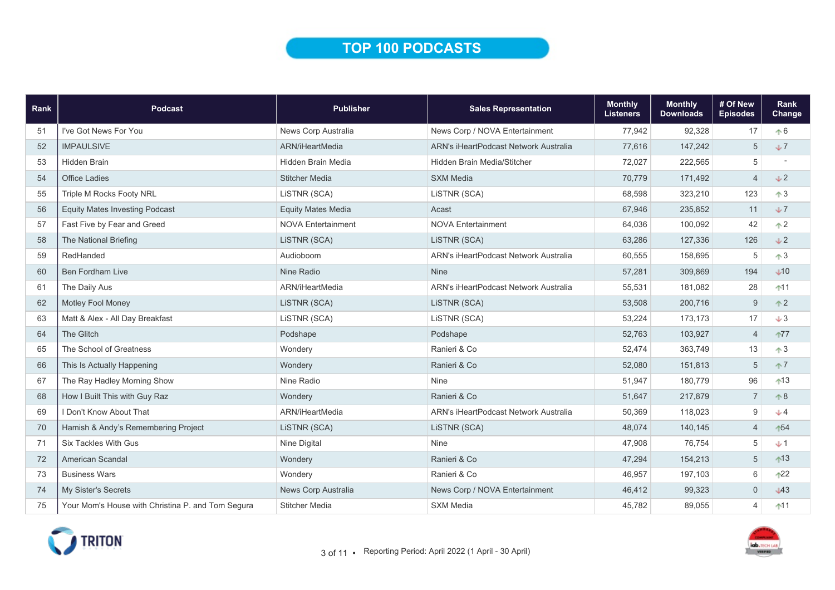# TOP 100 PODCASTS

| Rank | Podcast                                           | <b>Publisher</b>          | <b>Sales Representation</b>                  | <b>Monthly</b><br><b>Listeners</b> | <b>Monthly</b><br><b>Downloads</b> | # Of New<br><b>Episodes</b> | Rank<br>Change |
|------|---------------------------------------------------|---------------------------|----------------------------------------------|------------------------------------|------------------------------------|-----------------------------|----------------|
| 51   | I've Got News For You                             | News Corp Australia       | News Corp / NOVA Entertainment               | 77,942                             | 92,328                             | 17                          | $+6$           |
| 52   | <b>IMPAULSIVE</b>                                 | ARN/iHeartMedia           | <b>ARN's iHeartPodcast Network Australia</b> | 77,616                             | 147,242                            | 5                           | $+7$           |
| 53   | <b>Hidden Brain</b>                               | <b>Hidden Brain Media</b> | Hidden Brain Media/Stitcher                  | 72,027                             | 222,565                            | 5                           |                |
| 54   | <b>Office Ladies</b>                              | <b>Stitcher Media</b>     | <b>SXM Media</b>                             | 70,779                             | 171,492                            | $\overline{4}$              | V <sub>2</sub> |
| 55   | Triple M Rocks Footy NRL                          | LiSTNR (SCA)              | LiSTNR (SCA)                                 | 68,598                             | 323,210                            | 123                         | $\uparrow 3$   |
| 56   | <b>Equity Mates Investing Podcast</b>             | <b>Equity Mates Media</b> | Acast                                        | 67,946                             | 235,852                            | 11                          | J              |
| 57   | Fast Five by Fear and Greed                       | <b>NOVA Entertainment</b> | <b>NOVA Entertainment</b>                    | 64,036                             | 100,092                            | 42                          | $\uparrow$ 2   |
| 58   | The National Briefing                             | LiSTNR (SCA)              | LISTNR (SCA)                                 | 63,286                             | 127,336                            | 126                         | V <sub>2</sub> |
| 59   | RedHanded                                         | Audioboom                 | ARN's iHeartPodcast Network Australia        | 60,555                             | 158,695                            | 5                           | $\uparrow 3$   |
| 60   | <b>Ben Fordham Live</b>                           | Nine Radio                | <b>Nine</b>                                  | 57,281                             | 309,869                            | 194                         | J10            |
| 61   | The Daily Aus                                     | ARN/iHeartMedia           | <b>ARN's iHeartPodcast Network Australia</b> | 55,531                             | 181,082                            | 28                          | $11$           |
| 62   | <b>Motley Fool Money</b>                          | LISTNR (SCA)              | LISTNR (SCA)                                 | 53,508                             | 200,716                            | 9                           | $+2$           |
| 63   | Matt & Alex - All Day Breakfast                   | LISTNR (SCA)              | LiSTNR (SCA)                                 | 53,224                             | 173,173                            | 17                          | $+3$           |
| 64   | The Glitch                                        | Podshape                  | Podshape                                     | 52,763                             | 103,927                            | $\overline{4}$              | $+77$          |
| 65   | The School of Greatness                           | Wondery                   | Ranieri & Co                                 | 52,474                             | 363,749                            | 13                          | $\uparrow 3$   |
| 66   | This Is Actually Happening                        | Wondery                   | Ranieri & Co                                 | 52,080                             | 151,813                            | 5                           | $\uparrow$ 7   |
| 67   | The Ray Hadley Morning Show                       | Nine Radio                | Nine                                         | 51,947                             | 180,779                            | 96                          | $13$           |
| 68   | How I Built This with Guy Raz                     | Wondery                   | Ranieri & Co                                 | 51,647                             | 217,879                            | $\overline{7}$              | $\uparrow 8$   |
| 69   | I Don't Know About That                           | ARN/iHeartMedia           | ARN's iHeartPodcast Network Australia        | 50,369                             | 118,023                            | 9                           | $+4$           |
| 70   | Hamish & Andy's Remembering Project               | LiSTNR (SCA)              | LiSTNR (SCA)                                 | 48,074                             | 140,145                            | $\overline{4}$              | 154            |
| 71   | <b>Six Tackles With Gus</b>                       | Nine Digital              | <b>Nine</b>                                  | 47,908                             | 76,754                             | 5                           | $+1$           |
| 72   | <b>American Scandal</b>                           | Wondery                   | Ranieri & Co                                 | 47,294                             | 154,213                            | 5                           | $13$           |
| 73   | <b>Business Wars</b>                              | Wondery                   | Ranieri & Co                                 | 46,957                             | 197,103                            | 6                           | $^{122}$       |
| 74   | My Sister's Secrets                               | News Corp Australia       | News Corp / NOVA Entertainment               | 46,412                             | 99,323                             | $\overline{0}$              | J43            |
| 75   | Your Mom's House with Christina P. and Tom Segura | <b>Stitcher Media</b>     | <b>SXM Media</b>                             | 45,782                             | 89,055                             | $\overline{4}$              | $11$           |

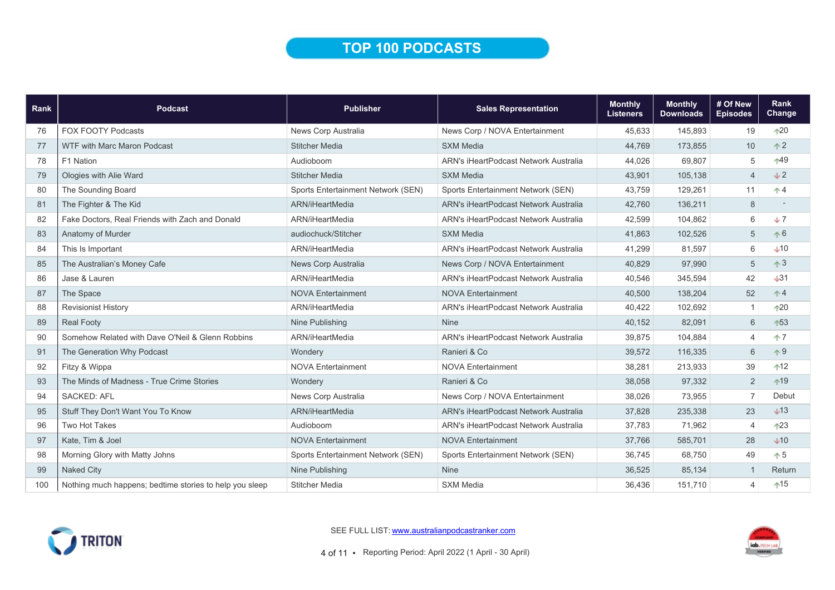# TOP 100 PODCASTS

| Rank | <b>Podcast</b>                                          | <b>Publisher</b>                   | <b>Sales Representation</b>                  | <b>Monthly</b><br><b>Listeners</b> | <b>Monthly</b><br><b>Downloads</b> | # Of New<br><b>Episodes</b> | Rank<br>Change |
|------|---------------------------------------------------------|------------------------------------|----------------------------------------------|------------------------------------|------------------------------------|-----------------------------|----------------|
| 76   | <b>FOX FOOTY Podcasts</b>                               | News Corp Australia                | News Corp / NOVA Entertainment               | 45,633                             | 145,893                            | 19                          | $\bigwedge$    |
| 77   | <b>WTF with Marc Maron Podcast</b>                      | <b>Stitcher Media</b>              | <b>SXM Media</b>                             | 44,769                             | 173,855                            | 10                          | $\uparrow$ 2   |
| 78   | F1 Nation                                               | Audioboom                          | <b>ARN's iHeartPodcast Network Australia</b> | 44,026                             | 69,807                             | 5                           | -49            |
| 79   | Ologies with Alie Ward                                  | <b>Stitcher Media</b>              | <b>SXM Media</b>                             | 43,901                             | 105,138                            | $\overline{4}$              | J2             |
| 80   | The Sounding Board                                      | Sports Entertainment Network (SEN) | Sports Entertainment Network (SEN)           | 43,759                             | 129,261                            | 11                          | $^*$ 4         |
| 81   | The Fighter & The Kid                                   | ARN/iHeartMedia                    | ARN's iHeartPodcast Network Australia        | 42,760                             | 136,211                            | 8                           |                |
| 82   | Fake Doctors, Real Friends with Zach and Donald         | ARN/iHeartMedia                    | <b>ARN's iHeartPodcast Network Australia</b> | 42,599                             | 104,862                            | 6                           | J              |
| 83   | Anatomy of Murder                                       | audiochuck/Stitcher                | <b>SXM Media</b>                             | 41,863                             | 102,526                            | 5                           | $\uparrow 6$   |
| 84   | This Is Important                                       | ARN/iHeartMedia                    | ARN's iHeartPodcast Network Australia        | 41,299                             | 81,597                             | 6                           | $+10$          |
| 85   | The Australian's Money Cafe                             | News Corp Australia                | News Corp / NOVA Entertainment               | 40,829                             | 97,990                             | 5                           | $\uparrow$ 3   |
| 86   | Jase & Lauren                                           | ARN/iHeartMedia                    | <b>ARN's iHeartPodcast Network Australia</b> | 40,546                             | 345,594                            | 42                          | J31            |
| 87   | The Space                                               | <b>NOVA Entertainment</b>          | <b>NOVA Entertainment</b>                    | 40,500                             | 138,204                            | 52                          | $\uparrow 4$   |
| 88   | <b>Revisionist History</b>                              | ARN/iHeartMedia                    | <b>ARN's iHeartPodcast Network Australia</b> | 40,422                             | 102,692                            | $\mathbf{1}$                | $+20$          |
| 89   | <b>Real Footy</b>                                       | Nine Publishing                    | <b>Nine</b>                                  | 40,152                             | 82,091                             | 6                           | ↑53            |
| 90   | Somehow Related with Dave O'Neil & Glenn Robbins        | ARN/iHeartMedia                    | <b>ARN's iHeartPodcast Network Australia</b> | 39,875                             | 104,884                            | $\overline{\mathcal{L}}$    | $+7$           |
| 91   | The Generation Why Podcast                              | Wondery                            | Ranieri & Co                                 | 39,572                             | 116,335                            | 6                           | $\uparrow 9$   |
| 92   | Fitzy & Wippa                                           | <b>NOVA Entertainment</b>          | <b>NOVA Entertainment</b>                    | 38,281                             | 213,933                            | 39                          | $+12$          |
| 93   | The Minds of Madness - True Crime Stories               | Wondery                            | Ranieri & Co                                 | 38,058                             | 97,332                             | 2                           | $*19$          |
| 94   | <b>SACKED: AFL</b>                                      | News Corp Australia                | News Corp / NOVA Entertainment               | 38,026                             | 73,955                             | $\overline{7}$              | Debut          |
| 95   | Stuff They Don't Want You To Know                       | ARN/iHeartMedia                    | ARN's iHeartPodcast Network Australia        | 37,828                             | 235,338                            | 23                          | $\bigcup$ 13   |
| 96   | Two Hot Takes                                           | Audioboom                          | ARN's iHeartPodcast Network Australia        | 37,783                             | 71,962                             | $\overline{4}$              | $+23$          |
| 97   | Kate, Tim & Joel                                        | <b>NOVA Entertainment</b>          | <b>NOVA Entertainment</b>                    | 37,766                             | 585,701                            | 28                          | $\bigcup$ 10   |
| 98   | Morning Glory with Matty Johns                          | Sports Entertainment Network (SEN) | Sports Entertainment Network (SEN)           | 36,745                             | 68.750                             | 49                          | $\uparrow 5$   |
| 99   | <b>Naked City</b>                                       | Nine Publishing                    | <b>Nine</b>                                  | 36,525                             | 85,134                             | $\overline{1}$              | Return         |
| 100  | Nothing much happens; bedtime stories to help you sleep | <b>Stitcher Media</b>              | <b>SXM Media</b>                             | 36,436                             | 151,710                            | 4                           | $*15$          |



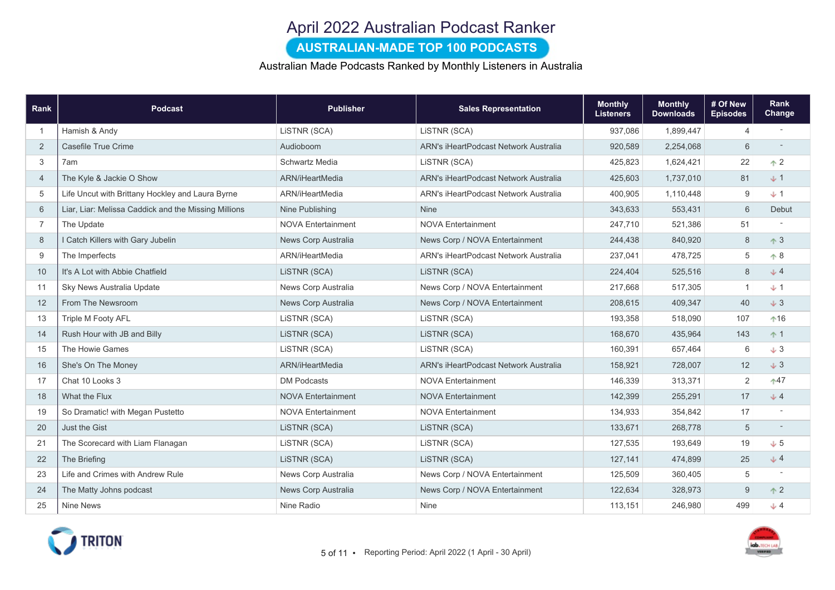# April 2022 Australian Podcast Ranker

### AUSTRALIAN-MADE TOP 100 PODCASTS

#### Australian Made Podcasts Ranked by Monthly Listeners in Australia

| Rank           | Podcast                                              | <b>Publisher</b>          | <b>Sales Representation</b>           | <b>Monthly</b><br><b>Listeners</b> | <b>Monthly</b><br><b>Downloads</b> | # Of New<br><b>Episodes</b> | Rank<br><b>Change</b> |
|----------------|------------------------------------------------------|---------------------------|---------------------------------------|------------------------------------|------------------------------------|-----------------------------|-----------------------|
|                | Hamish & Andy                                        | LISTNR (SCA)              | LISTNR (SCA)                          | 937,086                            | 1,899,447                          | $\overline{4}$              |                       |
| 2              | Casefile True Crime                                  | Audioboom                 | ARN's iHeartPodcast Network Australia | 920,589                            | 2,254,068                          | 6                           |                       |
| 3              | 7am                                                  | Schwartz Media            | LISTNR (SCA)                          | 425,823                            | 1,624,421                          | 22                          | $\triangle$ 2         |
| $\overline{4}$ | The Kyle & Jackie O Show                             | ARN/iHeartMedia           | ARN's iHeartPodcast Network Australia | 425,603                            | 1,737,010                          | 81                          | $+1$                  |
| 5              | Life Uncut with Brittany Hockley and Laura Byrne     | ARN/iHeartMedia           | ARN's iHeartPodcast Network Australia | 400,905                            | 1,110,448                          | 9                           | $+1$                  |
| 6              | Liar, Liar: Melissa Caddick and the Missing Millions | Nine Publishing           | <b>Nine</b>                           | 343,633                            | 553,431                            | 6                           | Debut                 |
| $\overline{7}$ | The Update                                           | <b>NOVA Entertainment</b> | <b>NOVA Entertainment</b>             | 247,710                            | 521,386                            | 51                          |                       |
| 8              | I Catch Killers with Gary Jubelin                    | News Corp Australia       | News Corp / NOVA Entertainment        | 244,438                            | 840,920                            | 8                           | $\uparrow$ 3          |
| 9              | The Imperfects                                       | ARN/iHeartMedia           | ARN's iHeartPodcast Network Australia | 237,041                            | 478,725                            | 5                           | $\uparrow 8$          |
| 10             | It's A Lot with Abbie Chatfield                      | LISTNR (SCA)              | LISTNR (SCA)                          | 224,404                            | 525,516                            | 8                           | J <sub>2</sub>        |
| 11             | Sky News Australia Update                            | News Corp Australia       | News Corp / NOVA Entertainment        | 217,668                            | 517,305                            | $\mathbf{1}$                | $+1$                  |
| 12             | From The Newsroom                                    | News Corp Australia       | News Corp / NOVA Entertainment        | 208,615                            | 409,347                            | 40                          | $+3$                  |
| 13             | Triple M Footy AFL                                   | LISTNR (SCA)              | LISTNR (SCA)                          | 193,358                            | 518,090                            | 107                         | $*16$                 |
| 14             | Rush Hour with JB and Billy                          | LISTNR (SCA)              | LISTNR (SCA)                          | 168,670                            | 435,964                            | 143                         | $+1$                  |
| 15             | The Howie Games                                      | LiSTNR (SCA)              | LISTNR (SCA)                          | 160,391                            | 657,464                            | 6                           | $+3$                  |
| 16             | She's On The Money                                   | ARN/iHeartMedia           | ARN's iHeartPodcast Network Australia | 158,921                            | 728,007                            | 12                          | $+3$                  |
| 17             | Chat 10 Looks 3                                      | <b>DM Podcasts</b>        | <b>NOVA Entertainment</b>             | 146,339                            | 313,371                            | 2                           | $*47$                 |
| 18             | What the Flux                                        | <b>NOVA Entertainment</b> | <b>NOVA Entertainment</b>             | 142,399                            | 255,291                            | 17                          | $+4$                  |
| 19             | So Dramatic! with Megan Pustetto                     | <b>NOVA Entertainment</b> | <b>NOVA Entertainment</b>             | 134,933                            | 354,842                            | 17                          |                       |
| 20             | Just the Gist                                        | LISTNR (SCA)              | LiSTNR (SCA)                          | 133,671                            | 268,778                            | 5                           |                       |
| 21             | The Scorecard with Liam Flanagan                     | LISTNR (SCA)              | LISTNR (SCA)                          | 127,535                            | 193,649                            | 19                          | J <sub>5</sub>        |
| 22             | The Briefing                                         | LiSTNR (SCA)              | LISTNR (SCA)                          | 127,141                            | 474,899                            | 25                          | J <sub>2</sub>        |
| 23             | Life and Crimes with Andrew Rule                     | News Corp Australia       | News Corp / NOVA Entertainment        | 125,509                            | 360,405                            | $\sqrt{5}$                  |                       |
| 24             | The Matty Johns podcast                              | News Corp Australia       | News Corp / NOVA Entertainment        | 122,634                            | 328,973                            | 9                           | $\uparrow$ 2          |
| 25             | <b>Nine News</b>                                     | Nine Radio                | <b>Nine</b>                           | 113,151                            | 246,980                            | 499                         | $J$ 4                 |

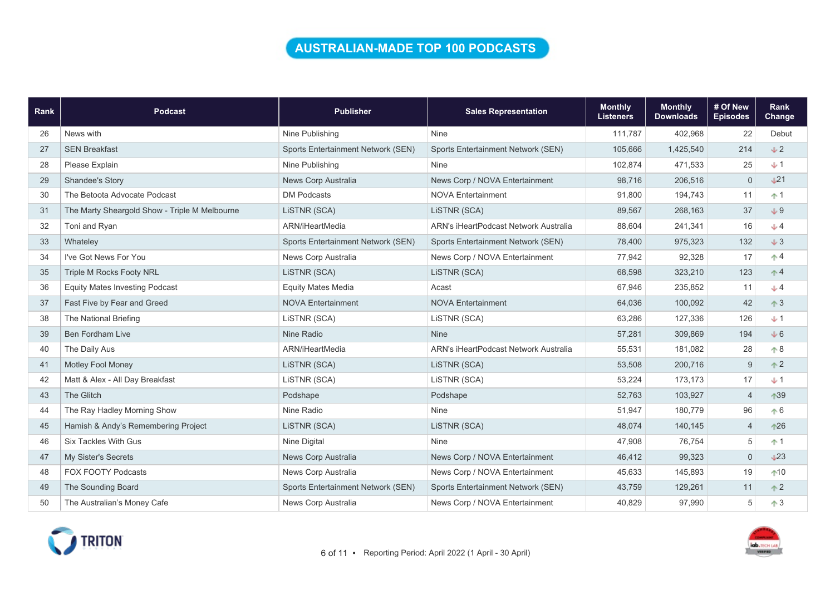### AUSTRALIAN-MADE TOP 100 PODCASTS

| Rank | <b>Podcast</b>                                | <b>Publisher</b>                   | <b>Sales Representation</b>           | <b>Monthly</b><br><b>Listeners</b> | <b>Monthly</b><br><b>Downloads</b> | # Of New<br><b>Episodes</b> | Rank<br>Change |
|------|-----------------------------------------------|------------------------------------|---------------------------------------|------------------------------------|------------------------------------|-----------------------------|----------------|
| 26   | News with                                     | Nine Publishing                    | <b>Nine</b>                           | 111,787                            | 402,968                            | 22                          | Debut          |
| 27   | <b>SEN Breakfast</b>                          | Sports Entertainment Network (SEN) | Sports Entertainment Network (SEN)    | 105,666                            | 1,425,540                          | 214                         | $+2$           |
| 28   | Please Explain                                | Nine Publishing                    | Nine                                  | 102,874                            | 471,533                            | 25                          | $+1$           |
| 29   | <b>Shandee's Story</b>                        | News Corp Australia                | News Corp / NOVA Entertainment        | 98,716                             | 206,516                            | 0                           | $\sqrt{21}$    |
| 30   | The Betoota Advocate Podcast                  | <b>DM Podcasts</b>                 | <b>NOVA Entertainment</b>             | 91,800                             | 194,743                            | 11                          | $+1$           |
| 31   | The Marty Sheargold Show - Triple M Melbourne | LISTNR (SCA)                       | LISTNR (SCA)                          | 89,567                             | 268,163                            | 37                          | $+9$           |
| 32   | Toni and Ryan                                 | ARN/iHeartMedia                    | ARN's iHeartPodcast Network Australia | 88,604                             | 241,341                            | 16                          | $+4$           |
| 33   | Whateley                                      | Sports Entertainment Network (SEN) | Sports Entertainment Network (SEN)    | 78,400                             | 975,323                            | 132                         | $+3$           |
| 34   | I've Got News For You                         | News Corp Australia                | News Corp / NOVA Entertainment        | 77,942                             | 92,328                             | 17                          | $\uparrow$ 4   |
| 35   | <b>Triple M Rocks Footy NRL</b>               | LISTNR (SCA)                       | LISTNR (SCA)                          | 68,598                             | 323,210                            | 123                         | $\uparrow$ 4   |
| 36   | <b>Equity Mates Investing Podcast</b>         | <b>Equity Mates Media</b>          | Acast                                 | 67,946                             | 235,852                            | 11                          | $+4$           |
| 37   | Fast Five by Fear and Greed                   | <b>NOVA Entertainment</b>          | <b>NOVA Entertainment</b>             | 64,036                             | 100,092                            | 42                          | $\uparrow$ 3   |
| 38   | The National Briefing                         | LISTNR (SCA)                       | LISTNR (SCA)                          | 63,286                             | 127,336                            | 126                         | $+1$           |
| 39   | <b>Ben Fordham Live</b>                       | Nine Radio                         | <b>Nine</b>                           | 57,281                             | 309,869                            | 194                         | $+6$           |
| 40   | The Daily Aus                                 | ARN/iHeartMedia                    | ARN's iHeartPodcast Network Australia | 55,531                             | 181,082                            | 28                          | $+8$           |
| 41   | <b>Motley Fool Money</b>                      | LISTNR (SCA)                       | LISTNR (SCA)                          | 53,508                             | 200,716                            | 9                           | $\uparrow$ 2   |
| 42   | Matt & Alex - All Day Breakfast               | LISTNR (SCA)                       | LISTNR (SCA)                          | 53,224                             | 173,173                            | 17                          | $+1$           |
| 43   | The Glitch                                    | Podshape                           | Podshape                              | 52,763                             | 103,927                            | $\overline{4}$              | 139            |
| 44   | The Ray Hadley Morning Show                   | Nine Radio                         | Nine                                  | 51,947                             | 180,779                            | 96                          | $\uparrow 6$   |
| 45   | Hamish & Andy's Remembering Project           | LISTNR (SCA)                       | LISTNR (SCA)                          | 48,074                             | 140,145                            | $\overline{4}$              | $*26$          |
| 46   | <b>Six Tackles With Gus</b>                   | Nine Digital                       | <b>Nine</b>                           | 47,908                             | 76,754                             | 5                           | $+1$           |
| 47   | <b>My Sister's Secrets</b>                    | News Corp Australia                | News Corp / NOVA Entertainment        | 46,412                             | 99,323                             | $\mathbf 0$                 | $\sqrt{23}$    |
| 48   | <b>FOX FOOTY Podcasts</b>                     | News Corp Australia                | News Corp / NOVA Entertainment        | 45,633                             | 145,893                            | 19                          | $+10$          |
| 49   | The Sounding Board                            | Sports Entertainment Network (SEN) | Sports Entertainment Network (SEN)    | 43,759                             | 129,261                            | 11                          | $\uparrow$ 2   |
| 50   | The Australian's Money Cafe                   | News Corp Australia                | News Corp / NOVA Entertainment        | 40,829                             | 97,990                             | 5                           | $\uparrow$ 3   |



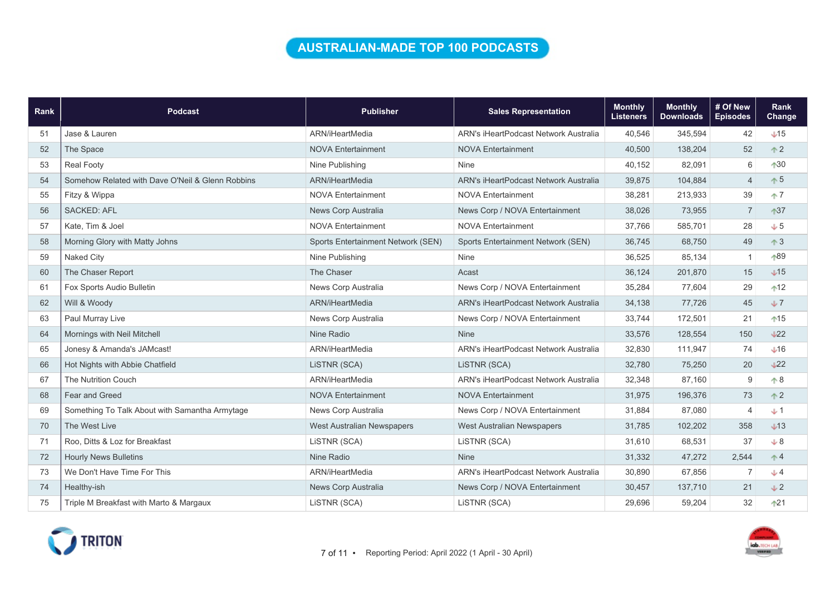### AUSTRALIAN-MADE TOP 100 PODCASTS

| Rank | <b>Podcast</b>                                   | <b>Publisher</b>                   | <b>Sales Representation</b>                  | <b>Monthly</b><br><b>Listeners</b> | <b>Monthly</b><br><b>Downloads</b> | # Of New<br><b>Episodes</b> | Rank<br>Change  |
|------|--------------------------------------------------|------------------------------------|----------------------------------------------|------------------------------------|------------------------------------|-----------------------------|-----------------|
| 51   | Jase & Lauren                                    | ARN/iHeartMedia                    | ARN's iHeartPodcast Network Australia        | 40,546                             | 345,594                            | 42                          | $+15$           |
| 52   | The Space                                        | <b>NOVA Entertainment</b>          | <b>NOVA Entertainment</b>                    | 40,500                             | 138,204                            | 52                          | $\uparrow$ 2    |
| 53   | <b>Real Footy</b>                                | Nine Publishing                    | Nine                                         | 40,152                             | 82,091                             | 6                           | $+30$           |
| 54   | Somehow Related with Dave O'Neil & Glenn Robbins | ARN/iHeartMedia                    | ARN's iHeartPodcast Network Australia        | 39,875                             | 104,884                            | $\overline{4}$              | $\uparrow 5$    |
| 55   | Fitzy & Wippa                                    | <b>NOVA Entertainment</b>          | <b>NOVA Entertainment</b>                    | 38,281                             | 213,933                            | 39                          | $+7$            |
| 56   | <b>SACKED: AFL</b>                               | News Corp Australia                | News Corp / NOVA Entertainment               | 38,026                             | 73,955                             | $\overline{7}$              | $137$           |
| 57   | Kate, Tim & Joel                                 | <b>NOVA Entertainment</b>          | <b>NOVA Entertainment</b>                    | 37,766                             | 585,701                            | 28                          | $+5$            |
| 58   | Morning Glory with Matty Johns                   | Sports Entertainment Network (SEN) | Sports Entertainment Network (SEN)           | 36,745                             | 68,750                             | 49                          | $\uparrow$ 3    |
| 59   | <b>Naked City</b>                                | Nine Publishing                    | <b>Nine</b>                                  | 36,525                             | 85,134                             | $\mathbf{1}$                | ↑89             |
| 60   | The Chaser Report                                | The Chaser                         | Acast                                        | 36,124                             | 201,870                            | 15                          | $\sqrt{15}$     |
| 61   | Fox Sports Audio Bulletin                        | News Corp Australia                | News Corp / NOVA Entertainment               | 35,284                             | 77,604                             | 29                          | $12$            |
| 62   | Will & Woody                                     | ARN/iHeartMedia                    | <b>ARN's iHeartPodcast Network Australia</b> | 34,138                             | 77.726                             | 45                          | $+7$            |
| 63   | Paul Murray Live                                 | News Corp Australia                | News Corp / NOVA Entertainment               | 33,744                             | 172,501                            | 21                          | $15$            |
| 64   | Mornings with Neil Mitchell                      | Nine Radio                         | <b>Nine</b>                                  | 33,576                             | 128,554                            | 150                         | $\bigcup_{22}$  |
| 65   | Jonesy & Amanda's JAMcast!                       | ARN/iHeartMedia                    | ARN's iHeartPodcast Network Australia        | 32,830                             | 111,947                            | 74                          | $+16$           |
| 66   | Hot Nights with Abbie Chatfield                  | LISTNR (SCA)                       | LISTNR (SCA)                                 | 32,780                             | 75,250                             | 20                          | 22              |
| 67   | <b>The Nutrition Couch</b>                       | ARN/iHeartMedia                    | ARN's iHeartPodcast Network Australia        | 32,348                             | 87,160                             | $9\,$                       | $\triangle$ 8   |
| 68   | Fear and Greed                                   | <b>NOVA Entertainment</b>          | <b>NOVA Entertainment</b>                    | 31,975                             | 196,376                            | 73                          | $\uparrow$ 2    |
| 69   | Something To Talk About with Samantha Armytage   | News Corp Australia                | News Corp / NOVA Entertainment               | 31,884                             | 87,080                             | $\overline{4}$              | $+1$            |
| 70   | The West Live                                    | West Australian Newspapers         | West Australian Newspapers                   | 31,785                             | 102,202                            | 358                         | $\downarrow$ 13 |
| 71   | Roo. Ditts & Loz for Breakfast                   | LISTNR (SCA)                       | LISTNR (SCA)                                 | 31,610                             | 68,531                             | 37                          | $+8$            |
| 72   | <b>Hourly News Bulletins</b>                     | Nine Radio                         | <b>Nine</b>                                  | 31,332                             | 47,272                             | 2,544                       | $\uparrow$ 4    |
| 73   | We Don't Have Time For This                      | ARN/iHeartMedia                    | ARN's iHeartPodcast Network Australia        | 30,890                             | 67,856                             | $\overline{7}$              | $+4$            |
| 74   | Healthy-ish                                      | News Corp Australia                | News Corp / NOVA Entertainment               | 30,457                             | 137,710                            | 21                          | $\sqrt{2}$      |
| 75   | Triple M Breakfast with Marto & Margaux          | LISTNR (SCA)                       | LISTNR (SCA)                                 | 29,696                             | 59,204                             | 32                          | $121$           |

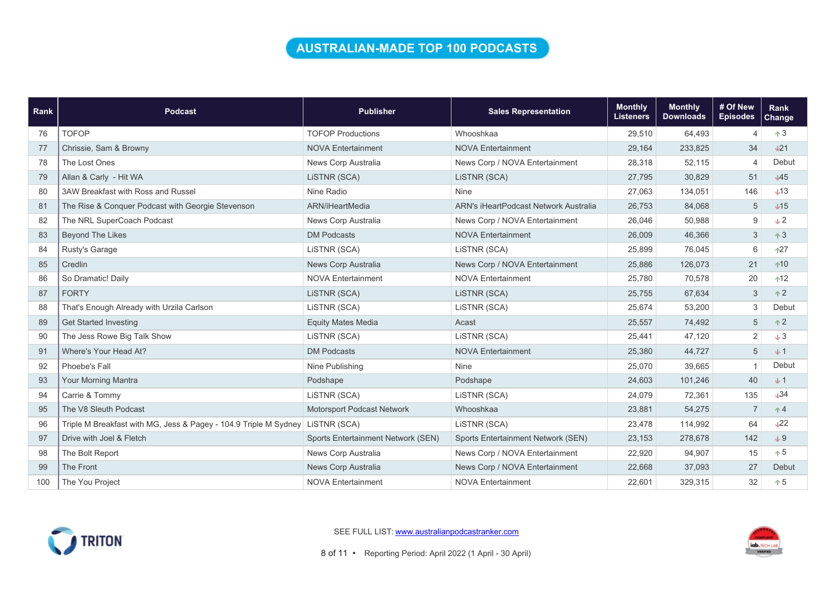### AUSTRALIAN-MADE TOP 100 PODCASTS

| <b>Rank</b> | <b>Podcast</b>                                                   | <b>Publisher</b>                   | <b>Sales Representation</b>           | <b>Monthly</b><br><b>Listeners</b> | <b>Monthly</b><br><b>Downloads</b> | # Of New<br><b>Episodes</b> | Rank<br><b>Change</b> |
|-------------|------------------------------------------------------------------|------------------------------------|---------------------------------------|------------------------------------|------------------------------------|-----------------------------|-----------------------|
| 76          | <b>TOFOP</b>                                                     | <b>TOFOP Productions</b>           | Whooshkaa                             | 29,510                             | 64,493                             | $\overline{4}$              | $+3$                  |
| 77          | Chrissie, Sam & Browny                                           | <b>NOVA Entertainment</b>          | <b>NOVA Entertainment</b>             | 29,164                             | 233,825                            | 34                          | $+21$                 |
| 78          | The Lost Ones                                                    | News Corp Australia                | News Corp / NOVA Entertainment        | 28,318                             | 52,115                             | $\overline{4}$              | Debut                 |
| 79          | Allan & Carly - Hit WA                                           | LISTNR (SCA)                       | LISTNR (SCA)                          | 27,795                             | 30,829                             | 51                          | $\sqrt{45}$           |
| 80          | 3AW Breakfast with Ross and Russel                               | Nine Radio                         | <b>Nine</b>                           | 27,063                             | 134,051                            | 146                         | $+13$                 |
| 81          | The Rise & Conquer Podcast with Georgie Stevenson                | ARN/iHeartMedia                    | ARN's iHeartPodcast Network Australia | 26,753                             | 84,068                             | 5                           | $\sqrt{15}$           |
| 82          | The NRL SuperCoach Podcast                                       | News Corp Australia                | News Corp / NOVA Entertainment        | 26,046                             | 50,988                             | 9                           | $+2$                  |
| 83          | <b>Beyond The Likes</b>                                          | <b>DM Podcasts</b>                 | <b>NOVA Entertainment</b>             | 26,009                             | 46,366                             | 3                           | $+3$                  |
| 84          | Rusty's Garage                                                   | LISTNR (SCA)                       | LISTNR (SCA)                          | 25,899                             | 76,045                             | 6                           | 127                   |
| 85          | Credlin                                                          | News Corp Australia                | News Corp / NOVA Entertainment        | 25,886                             | 126,073                            | 21                          | $+10$                 |
| 86          | So Dramatic! Daily                                               | <b>NOVA Entertainment</b>          | <b>NOVA Entertainment</b>             | 25,780                             | 70,578                             | 20                          | $12$                  |
| 87          | <b>FORTY</b>                                                     | LISTNR (SCA)                       | LISTNR (SCA)                          | 25,755                             | 67,634                             | 3                           | $+2$                  |
| 88          | That's Enough Already with Urzila Carlson                        | LiSTNR (SCA)                       | LISTNR (SCA)                          | 25,674                             | 53,200                             | 3                           | Debut                 |
| 89          | <b>Get Started Investing</b>                                     | <b>Equity Mates Media</b>          | Acast                                 | 25,557                             | 74,492                             | 5                           | $+2$                  |
| 90          | The Jess Rowe Big Talk Show                                      | LISTNR (SCA)                       | LISTNR (SCA)                          | 25,441                             | 47,120                             | $\overline{2}$              | $+3$                  |
| 91          | Where's Your Head At?                                            | <b>DM Podcasts</b>                 | <b>NOVA Entertainment</b>             | 25,380                             | 44,727                             | 5                           | $+1$                  |
| 92          | Phoebe's Fall                                                    | Nine Publishing                    | <b>Nine</b>                           | 25,070                             | 39,665                             |                             | Debut                 |
| 93          | <b>Your Morning Mantra</b>                                       | Podshape                           | Podshape                              | 24,603                             | 101,246                            | 40                          | $+1$                  |
| 94          | Carrie & Tommy                                                   | LISTNR (SCA)                       | LISTNR (SCA)                          | 24,079                             | 72,361                             | 135                         | J34                   |
| 95          | The V8 Sleuth Podcast                                            | Motorsport Podcast Network         | Whooshkaa                             | 23,881                             | 54,275                             | $\overline{7}$              | $+4$                  |
| 96          | Triple M Breakfast with MG, Jess & Pagey - 104.9 Triple M Sydney | LISTNR (SCA)                       | LISTNR (SCA)                          | 23,478                             | 114,992                            | 64                          | 122                   |
| 97          | Drive with Joel & Fletch                                         | Sports Entertainment Network (SEN) | Sports Entertainment Network (SEN)    | 23,153                             | 278,678                            | 142                         | $+9$                  |
| 98          | The Bolt Report                                                  | News Corp Australia                | News Corp / NOVA Entertainment        | 22,920                             | 94,907                             | 15                          | $+5$                  |
| 99          | The Front                                                        | News Corp Australia                | News Corp / NOVA Entertainment        | 22,668                             | 37,093                             | 27                          | Debut                 |
| 100         | The You Project                                                  | <b>NOVA Entertainment</b>          | <b>NOVA Entertainment</b>             | 22,601                             | 329,315                            | 32                          | $+5$                  |



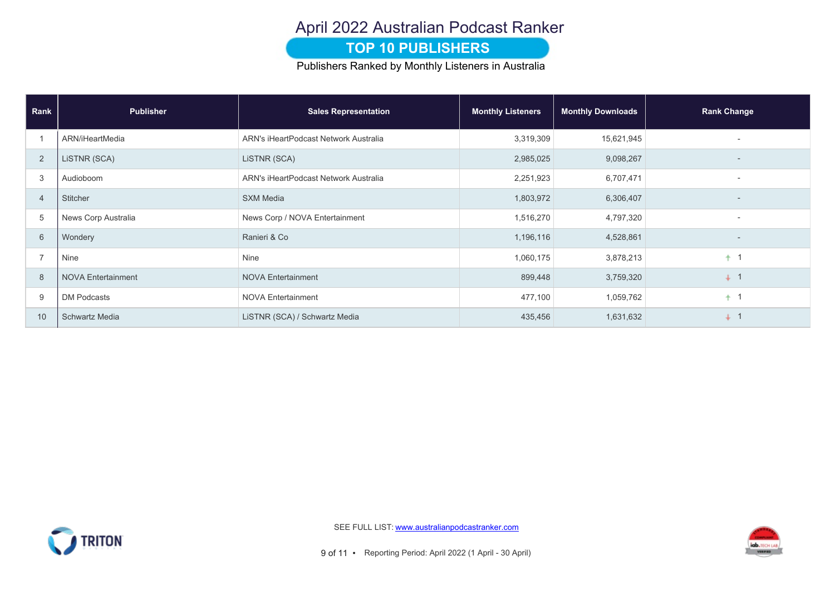# April 2022 Australian Podcast Ranker

#### **TOP 10 PUBLISHERS**

Publishers Ranked by Monthly Listeners in Australia

| Rank           | <b>Publisher</b>          | <b>Sales Representation</b>           | <b>Monthly Listeners</b> | <b>Monthly Downloads</b> | <b>Rank Change</b>       |
|----------------|---------------------------|---------------------------------------|--------------------------|--------------------------|--------------------------|
|                | ARN/iHeartMedia           | ARN's iHeartPodcast Network Australia | 3,319,309                | 15,621,945               |                          |
| 2              | LISTNR (SCA)              | LISTNR (SCA)                          | 2,985,025                | 9,098,267                |                          |
| 3              | Audioboom                 | ARN's iHeartPodcast Network Australia | 2,251,923                | 6,707,471                | $\overline{\phantom{a}}$ |
| $\overline{4}$ | Stitcher                  | <b>SXM Media</b>                      | 1,803,972                | 6,306,407                | $\overline{\phantom{a}}$ |
| 5              | News Corp Australia       | News Corp / NOVA Entertainment        | 1,516,270                | 4,797,320                |                          |
| 6              | Wondery                   | Ranieri & Co                          | 1,196,116                | 4,528,861                |                          |
| $\overline{ }$ | Nine                      | Nine                                  | 1,060,175                | 3,878,213                | $+1$                     |
| 8              | <b>NOVA Entertainment</b> | <b>NOVA Entertainment</b>             | 899,448                  | 3,759,320                | $+$ 1                    |
| 9              | <b>DM Podcasts</b>        | <b>NOVA Entertainment</b>             | 477,100                  | 1,059,762                | $+1$                     |
| 10             | <b>Schwartz Media</b>     | LISTNR (SCA) / Schwartz Media         | 435,456                  | 1,631,632                | $+$ 1                    |



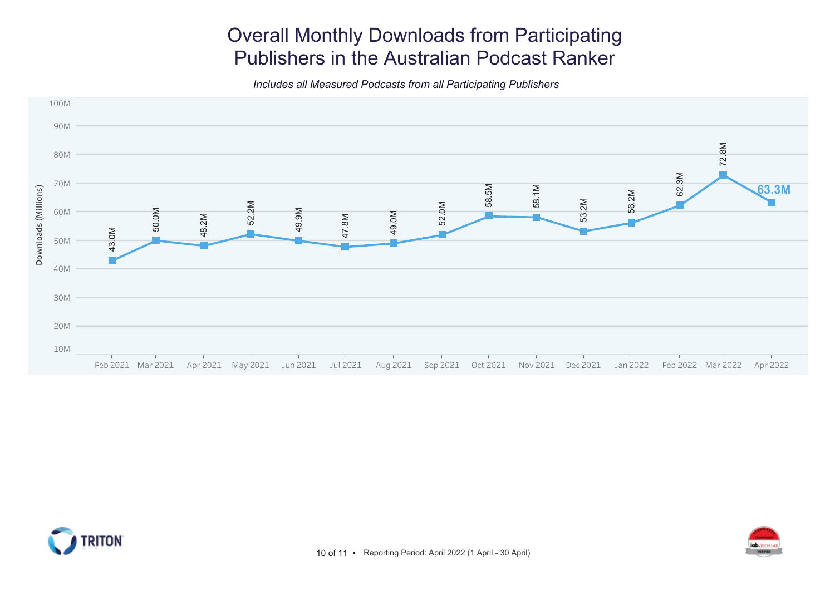# Overall Monthly Downloads from Participating Publishers in the Australian Podcast Ranker

Includes all Measured Podcasts from all Participating Publishers